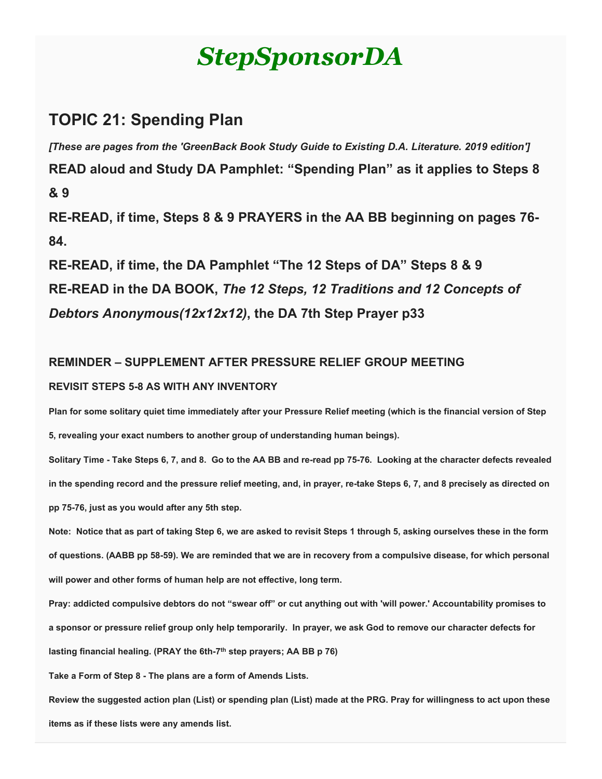# *StepSponsorDA*

# **TOPIC 21: Spending Plan**

*[These are pages from the 'GreenBack Book Study Guide to Existing D.A. Literature. 2019 edition']*

**READ aloud and Study DA Pamphlet: "Spending Plan" as it applies to Steps 8 & 9**

**RE-READ, if time, Steps 8 & 9 PRAYERS in the AA BB beginning on pages 76- 84.**

**RE-READ, if time, the DA Pamphlet "The 12 Steps of DA" Steps 8 & 9 RE-READ in the DA BOOK,** *The 12 Steps, 12 Traditions and 12 Concepts of Debtors Anonymous(12x12x12)***, the DA 7th Step Prayer p33**

# **REMINDER – SUPPLEMENT AFTER PRESSURE RELIEF GROUP MEETING REVISIT STEPS 5-8 AS WITH ANY INVENTORY**

**Plan for some solitary quiet time immediately after your Pressure Relief meeting (which is the financial version of Step 5, revealing your exact numbers to another group of understanding human beings).**

**Solitary Time - Take Steps 6, 7, and 8. Go to the AA BB and re-read pp 75-76. Looking at the character defects revealed in the spending record and the pressure relief meeting, and, in prayer, re-take Steps 6, 7, and 8 precisely as directed on pp 75-76, just as you would after any 5th step.**

**Note: Notice that as part of taking Step 6, we are asked to revisit Steps 1 through 5, asking ourselves these in the form of questions. (AABB pp 58-59). We are reminded that we are in recovery from a compulsive disease, for which personal will power and other forms of human help are not effective, long term.**

**Pray: addicted compulsive debtors do not "swear off" or cut anything out with 'will power.' Accountability promises to a sponsor or pressure relief group only help temporarily. In prayer, we ask God to remove our character defects for lasting financial healing. (PRAY the 6th-7th step prayers; AA BB p 76)**

**Take a Form of Step 8 - The plans are a form of Amends Lists.**

**Review the suggested action plan (List) or spending plan (List) made at the PRG. Pray for willingness to act upon these items as if these lists were any amends list.**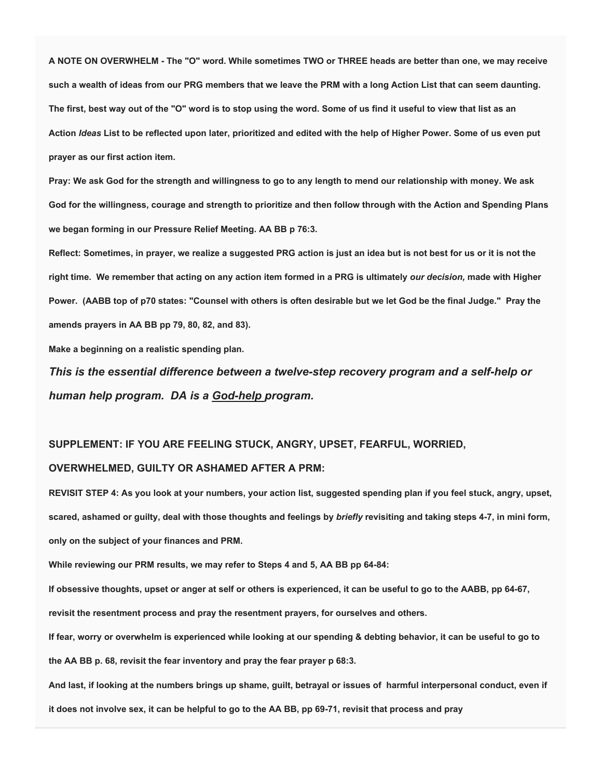**A NOTE ON OVERWHELM - The "O" word. While sometimes TWO or THREE heads are better than one, we may receive such a wealth of ideas from our PRG members that we leave the PRM with a long Action List that can seem daunting. The first, best way out of the "O" word is to stop using the word. Some of us find it useful to view that list as an Action** *Ideas* **List to be reflected upon later, prioritized and edited with the help of Higher Power. Some of us even put prayer as our first action item.**

**Pray: We ask God for the strength and willingness to go to any length to mend our relationship with money. We ask God for the willingness, courage and strength to prioritize and then follow through with the Action and Spending Plans we began forming in our Pressure Relief Meeting. AA BB p 76:3.**

**Reflect: Sometimes, in prayer, we realize a suggested PRG action is just an idea but is not best for us or it is not the right time. We remember that acting on any action item formed in a PRG is ultimately** *our decision,* **made with Higher Power. (AABB top of p70 states: "Counsel with others is often desirable but we let God be the final Judge." Pray the amends prayers in AA BB pp 79, 80, 82, and 83).**

**Make a beginning on a realistic spending plan.**

*This is the essential difference between a twelve-step recovery program and a self-help or human help program. DA is a God-help program.*

### **SUPPLEMENT: IF YOU ARE FEELING STUCK, ANGRY, UPSET, FEARFUL, WORRIED,**

#### **OVERWHELMED, GUILTY OR ASHAMED AFTER A PRM:**

**REVISIT STEP 4: As you look at your numbers, your action list, suggested spending plan if you feel stuck, angry, upset, scared, ashamed or guilty, deal with those thoughts and feelings by** *briefly* **revisiting and taking steps 4-7, in mini form, only on the subject of your finances and PRM.**

**While reviewing our PRM results, we may refer to Steps 4 and 5, AA BB pp 64-84:**

**If obsessive thoughts, upset or anger at self or others is experienced, it can be useful to go to the AABB, pp 64-67,** 

**revisit the resentment process and pray the resentment prayers, for ourselves and others.**

**If fear, worry or overwhelm is experienced while looking at our spending & debting behavior, it can be useful to go to** 

**the AA BB p. 68, revisit the fear inventory and pray the fear prayer p 68:3.**

**And last, if looking at the numbers brings up shame, guilt, betrayal or issues of harmful interpersonal conduct, even if it does not involve sex, it can be helpful to go to the AA BB, pp 69-71, revisit that process and pray**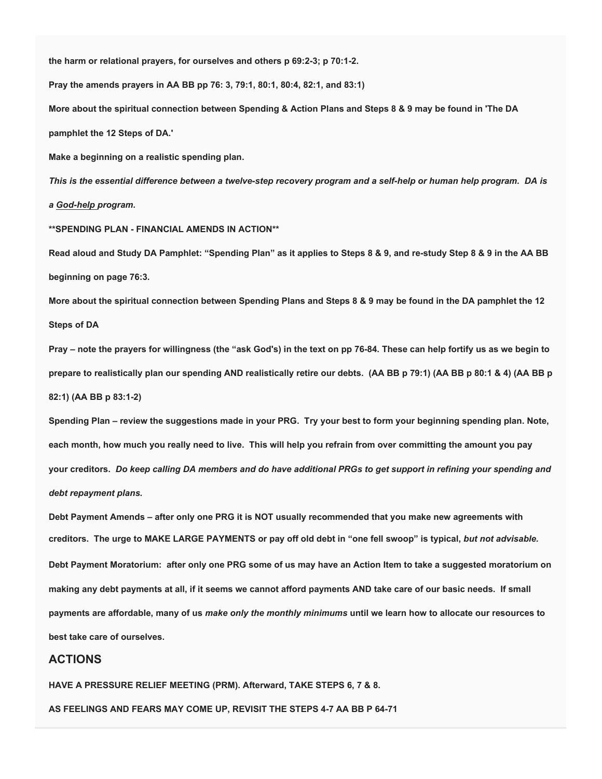**the harm or relational prayers, for ourselves and others p 69:2-3; p 70:1-2.**

**Pray the amends prayers in AA BB pp 76: 3, 79:1, 80:1, 80:4, 82:1, and 83:1)**

**More about the spiritual connection between Spending & Action Plans and Steps 8 & 9 may be found in 'The DA** 

**pamphlet the 12 Steps of DA.'**

**Make a beginning on a realistic spending plan.** 

*This is the essential difference between a twelve-step recovery program and a self-help or human help program. DA is a God-help program.*

**\*\*SPENDING PLAN - FINANCIAL AMENDS IN ACTION\*\***

**Read aloud and Study DA Pamphlet: "Spending Plan" as it applies to Steps 8 & 9, and re-study Step 8 & 9 in the AA BB beginning on page 76:3.**

**More about the spiritual connection between Spending Plans and Steps 8 & 9 may be found in the DA pamphlet the 12 Steps of DA**

**Pray – note the prayers for willingness (the "ask God's) in the text on pp 76-84. These can help fortify us as we begin to prepare to realistically plan our spending AND realistically retire our debts. (AA BB p 79:1) (AA BB p 80:1 & 4) (AA BB p 82:1) (AA BB p 83:1-2)**

**Spending Plan – review the suggestions made in your PRG. Try your best to form your beginning spending plan. Note, each month, how much you really need to live. This will help you refrain from over committing the amount you pay your creditors.** *Do keep calling DA members and do have additional PRGs to get support in refining your spending and debt repayment plans.*

**Debt Payment Amends – after only one PRG it is NOT usually recommended that you make new agreements with creditors. The urge to MAKE LARGE PAYMENTS or pay off old debt in "one fell swoop" is typical,** *but not advisable.* **Debt Payment Moratorium: after only one PRG some of us may have an Action Item to take a suggested moratorium on making any debt payments at all, if it seems we cannot afford payments AND take care of our basic needs. If small payments are affordable, many of us** *make only the monthly minimums* **until we learn how to allocate our resources to best take care of ourselves.**

### **ACTIONS**

**HAVE A PRESSURE RELIEF MEETING (PRM). Afterward, TAKE STEPS 6, 7 & 8.**

**AS FEELINGS AND FEARS MAY COME UP, REVISIT THE STEPS 4-7 AA BB P 64-71**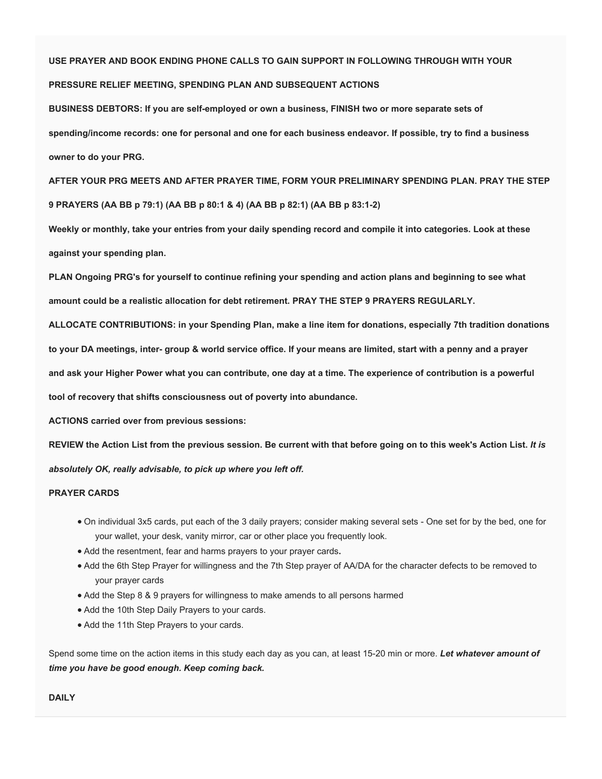#### **USE PRAYER AND BOOK ENDING PHONE CALLS TO GAIN SUPPORT IN FOLLOWING THROUGH WITH YOUR**

#### **PRESSURE RELIEF MEETING, SPENDING PLAN AND SUBSEQUENT ACTIONS**

**BUSINESS DEBTORS: If you are self-employed or own a business, FINISH two or more separate sets of spending/income records: one for personal and one for each business endeavor. If possible, try to find a business owner to do your PRG.**

**AFTER YOUR PRG MEETS AND AFTER PRAYER TIME, FORM YOUR PRELIMINARY SPENDING PLAN. PRAY THE STEP 9 PRAYERS (AA BB p 79:1) (AA BB p 80:1 & 4) (AA BB p 82:1) (AA BB p 83:1-2)**

**Weekly or monthly, take your entries from your daily spending record and compile it into categories. Look at these against your spending plan.**

**PLAN Ongoing PRG's for yourself to continue refining your spending and action plans and beginning to see what amount could be a realistic allocation for debt retirement. PRAY THE STEP 9 PRAYERS REGULARLY.**

**ALLOCATE CONTRIBUTIONS: in your Spending Plan, make a line item for donations, especially 7th tradition donations** 

**to your DA meetings, inter- group & world service office. If your means are limited, start with a penny and a prayer** 

**and ask your Higher Power what you can contribute, one day at a time. The experience of contribution is a powerful** 

**tool of recovery that shifts consciousness out of poverty into abundance.** 

**ACTIONS carried over from previous sessions:**

**REVIEW the Action List from the previous session. Be current with that before going on to this week's Action List.** *It is* 

*absolutely OK, really advisable, to pick up where you left off.*

#### **PRAYER CARDS**

- On individual 3x5 cards, put each of the 3 daily prayers; consider making several sets One set for by the bed, one for your wallet, your desk, vanity mirror, car or other place you frequently look.
- Add the resentment, fear and harms prayers to your prayer cards**.**
- Add the 6th Step Prayer for willingness and the 7th Step prayer of AA/DA for the character defects to be removed to your prayer cards
- Add the Step 8 & 9 prayers for willingness to make amends to all persons harmed
- Add the 10th Step Daily Prayers to your cards.
- Add the 11th Step Prayers to your cards.

Spend some time on the action items in this study each day as you can, at least 15-20 min or more. *Let whatever amount of time you have be good enough. Keep coming back.*

#### **DAILY**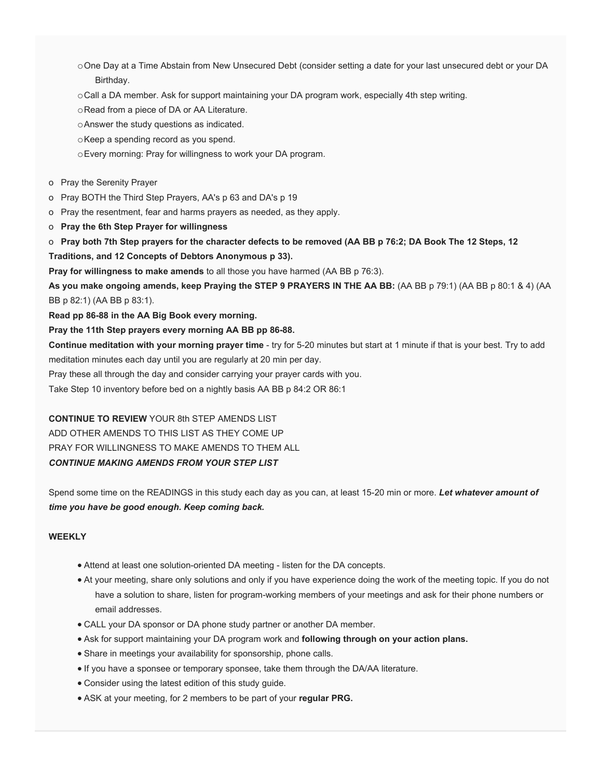- oOne Day at a Time Abstain from New Unsecured Debt (consider setting a date for your last unsecured debt or your DA Birthday.
- oCall a DA member. Ask for support maintaining your DA program work, especially 4th step writing.
- oRead from a piece of DA or AA Literature.
- oAnswer the study questions as indicated.
- oKeep a spending record as you spend.
- oEvery morning: Pray for willingness to work your DA program.
- o Pray the Serenity Prayer
- o Pray BOTH the Third Step Prayers, AA's p 63 and DA's p 19
- o Pray the resentment, fear and harms prayers as needed, as they apply.
- o **Pray the 6th Step Prayer for willingness**
- o **Pray both 7th Step prayers for the character defects to be removed (AA BB p 76:2; DA Book The 12 Steps, 12**

#### **Traditions, and 12 Concepts of Debtors Anonymous p 33).**

**Pray for willingness to make amends** to all those you have harmed (AA BB p 76:3).

**As you make ongoing amends, keep Praying the STEP 9 PRAYERS IN THE AA BB:** (AA BB p 79:1) (AA BB p 80:1 & 4) (AA BB p 82:1) (AA BB p 83:1).

**Read pp 86-88 in the AA Big Book every morning.**

#### **Pray the 11th Step prayers every morning AA BB pp 86-88.**

**Continue meditation with your morning prayer time** - try for 5-20 minutes but start at 1 minute if that is your best. Try to add meditation minutes each day until you are regularly at 20 min per day.

Pray these all through the day and consider carrying your prayer cards with you.

Take Step 10 inventory before bed on a nightly basis AA BB p 84:2 OR 86:1

#### **CONTINUE TO REVIEW** YOUR 8th STEP AMENDS LIST

ADD OTHER AMENDS TO THIS LIST AS THEY COME UP PRAY FOR WILLINGNESS TO MAKE AMENDS TO THEM ALL *CONTINUE MAKING AMENDS FROM YOUR STEP LIST*

Spend some time on the READINGS in this study each day as you can, at least 15-20 min or more. *Let whatever amount of time you have be good enough. Keep coming back.*

#### **WEEKLY**

- Attend at least one solution-oriented DA meeting listen for the DA concepts.
- At your meeting, share only solutions and only if you have experience doing the work of the meeting topic. If you do not have a solution to share, listen for program-working members of your meetings and ask for their phone numbers or email addresses.
- CALL your DA sponsor or DA phone study partner or another DA member.
- Ask for support maintaining your DA program work and **following through on your action plans.**
- Share in meetings your availability for sponsorship, phone calls.
- If you have a sponsee or temporary sponsee, take them through the DA/AA literature.
- Consider using the latest edition of this study guide.
- ASK at your meeting, for 2 members to be part of your **regular PRG.**